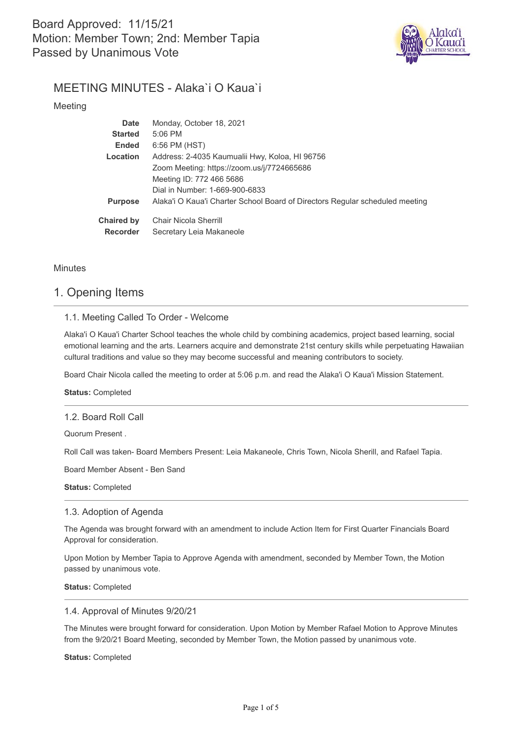

# MEETING MINUTES - Alaka`i O Kaua`i

Meeting

| <b>Date</b>       | Monday, October 18, 2021                                                     |
|-------------------|------------------------------------------------------------------------------|
| <b>Started</b>    | $5:06$ PM                                                                    |
| <b>Ended</b>      | 6:56 PM (HST)                                                                |
| Location          | Address: 2-4035 Kaumualii Hwy, Koloa, HI 96756                               |
|                   | Zoom Meeting: https://zoom.us/j/7724665686                                   |
|                   | Meeting ID: 772 466 5686                                                     |
|                   | Dial in Number: 1-669-900-6833                                               |
| <b>Purpose</b>    | Alaka'i O Kaua'i Charter School Board of Directors Regular scheduled meeting |
| <b>Chaired by</b> | Chair Nicola Sherrill                                                        |
| <b>Recorder</b>   | Secretary Leia Makaneole                                                     |

**Minutes** 

# 1. Opening Items

## 1.1. Meeting Called To Order - Welcome

Alaka'i O Kaua'i Charter School teaches the whole child by combining academics, project based learning, social emotional learning and the arts. Learners acquire and demonstrate 21st century skills while perpetuating Hawaiian cultural traditions and value so they may become successful and meaning contributors to society.

Board Chair Nicola called the meeting to order at 5:06 p.m. and read the Alaka'i O Kaua'i Mission Statement.

**Status:** Completed

### 1.2. Board Roll Call

Quorum Present .

Roll Call was taken- Board Members Present: Leia Makaneole, Chris Town, Nicola Sherill, and Rafael Tapia.

Board Member Absent - Ben Sand

**Status:** Completed

## 1.3. Adoption of Agenda

The Agenda was brought forward with an amendment to include Action Item for First Quarter Financials Board Approval for consideration.

Upon Motion by Member Tapia to Approve Agenda with amendment, seconded by Member Town, the Motion passed by unanimous vote.

**Status:** Completed

### 1.4. Approval of Minutes 9/20/21

The Minutes were brought forward for consideration. Upon Motion by Member Rafael Motion to Approve Minutes from the 9/20/21 Board Meeting, seconded by Member Town, the Motion passed by unanimous vote.

**Status:** Completed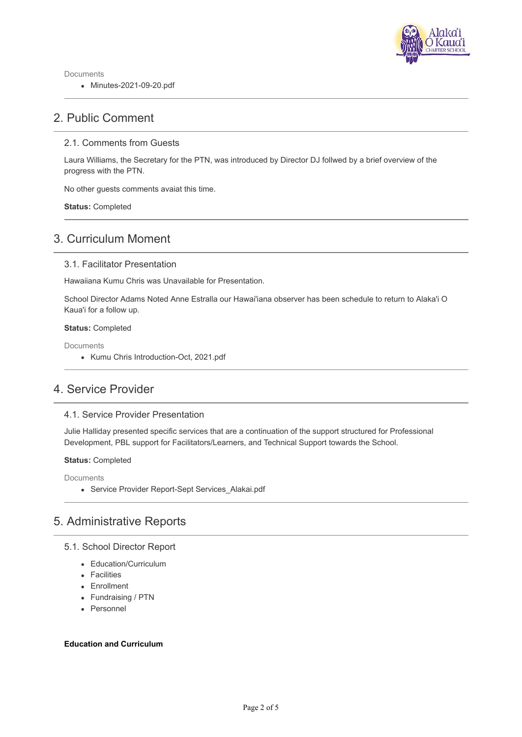

Documents

Minutes-2021-09-20.pdf

# 2. Public Comment

## 2.1. Comments from Guests

Laura Williams, the Secretary for the PTN, was introduced by Director DJ follwed by a brief overview of the progress with the PTN.

No other guests comments avaiat this time.

**Status:** Completed

# 3. Curriculum Moment

### 3.1. Facilitator Presentation

Hawaiiana Kumu Chris was Unavailable for Presentation.

School Director Adams Noted Anne Estralla our Hawai'iana observer has been schedule to return to Alaka'i O Kaua'i for a follow up.

#### **Status:** Completed

Documents

• Kumu Chris Introduction-Oct, 2021.pdf

# 4. Service Provider

### 4.1. Service Provider Presentation

Julie Halliday presented specific services that are a continuation of the support structured for Professional Development, PBL support for Facilitators/Learners, and Technical Support towards the School.

#### **Status:** Completed

Documents

• Service Provider Report-Sept Services Alakai.pdf

# 5. Administrative Reports

## 5.1. School Director Report

- Education/Curriculum
- Facilities
- Enrollment
- Fundraising / PTN
- Personnel

### **Education and Curriculum**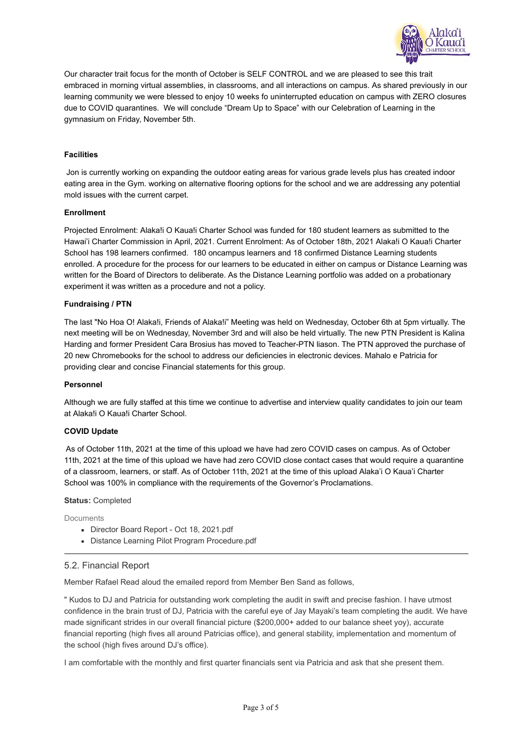

Our character trait focus for the month of October is SELF CONTROL and we are pleased to see this trait embraced in morning virtual assemblies, in classrooms, and all interactions on campus. As shared previously in our learning community we were blessed to enjoy 10 weeks fo uninterrupted education on campus with ZERO closures due to COVID quarantines. We will conclude "Dream Up to Space" with our Celebration of Learning in the gymnasium on Friday, November 5th.

### **Facilities**

 Jon is currently working on expanding the outdoor eating areas for various grade levels plus has created indoor eating area in the Gym. working on alternative flooring options for the school and we are addressing any potential mold issues with the current carpet.

### **Enrollment**

Projected Enrolment: Alaka!i O Kaua!i Charter School was funded for 180 student learners as submitted to the Hawai'i Charter Commission in April, 2021. Current Enrolment: As of October 18th, 2021 Alaka!i O Kaua!i Charter School has 198 learners confirmed. 180 oncampus learners and 18 confirmed Distance Learning students enrolled. A procedure for the process for our learners to be educated in either on campus or Distance Learning was written for the Board of Directors to deliberate. As the Distance Learning portfolio was added on a probationary experiment it was written as a procedure and not a policy.

### **Fundraising / PTN**

The last "No Hoa O! Alaka!i, Friends of Alaka!i" Meeting was held on Wednesday, October 6th at 5pm virtually. The next meeting will be on Wednesday, November 3rd and will also be held virtually. The new PTN President is Kalina Harding and former President Cara Brosius has moved to Teacher-PTN liason. The PTN approved the purchase of 20 new Chromebooks for the school to address our deficiencies in electronic devices. Mahalo e Patricia for providing clear and concise Financial statements for this group.

### **Personnel**

Although we are fully staffed at this time we continue to advertise and interview quality candidates to join our team at Alaka!i O Kaua!i Charter School.

### **COVID Update**

 As of October 11th, 2021 at the time of this upload we have had zero COVID cases on campus. As of October 11th, 2021 at the time of this upload we have had zero COVID close contact cases that would require a quarantine of a classroom, learners, or staff. As of October 11th, 2021 at the time of this upload Alaka'i O Kaua'i Charter School was 100% in compliance with the requirements of the Governor's Proclamations.

#### **Status:** Completed

**Documents** 

- Director Board Report Oct 18, 2021.pdf
- Distance Learning Pilot Program Procedure.pdf

### 5.2. Financial Report

Member Rafael Read aloud the emailed repord from Member Ben Sand as follows,

" Kudos to DJ and Patricia for outstanding work completing the audit in swift and precise fashion. I have utmost confidence in the brain trust of DJ, Patricia with the careful eye of Jay Mayaki's team completing the audit. We have made significant strides in our overall financial picture (\$200,000+ added to our balance sheet yoy), accurate financial reporting (high fives all around Patricias office), and general stability, implementation and momentum of the school (high fives around DJ's office).

I am comfortable with the monthly and first quarter financials sent via Patricia and ask that she present them.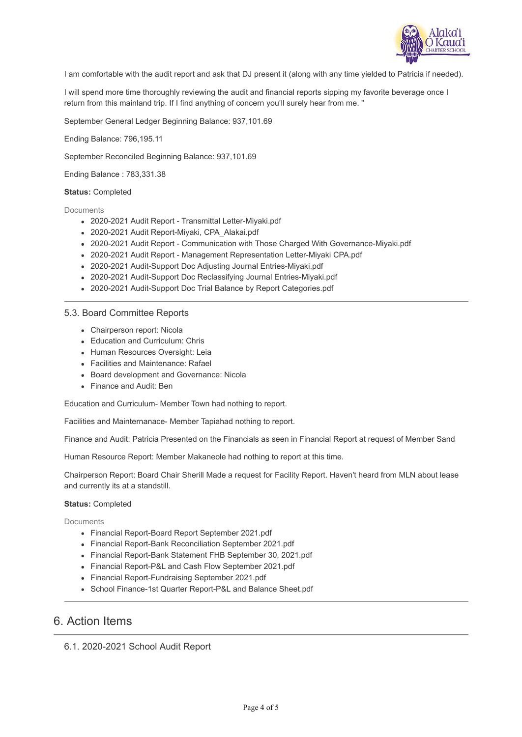

I am comfortable with the audit report and ask that DJ present it (along with any time yielded to Patricia if needed).

I will spend more time thoroughly reviewing the audit and financial reports sipping my favorite beverage once I return from this mainland trip. If I find anything of concern you'll surely hear from me. "

September General Ledger Beginning Balance: 937,101.69

Ending Balance: 796,195.11

September Reconciled Beginning Balance: 937,101.69

Ending Balance : 783,331.38

#### **Status:** Completed

Documents

- 2020-2021 Audit Report Transmittal Letter-Miyaki.pdf
- 2020-2021 Audit Report-Miyaki, CPA\_Alakai.pdf
- 2020-2021 Audit Report Communication with Those Charged With Governance-Miyaki.pdf
- 2020-2021 Audit Report Management Representation Letter-Miyaki CPA.pdf
- 2020-2021 Audit-Support Doc Adjusting Journal Entries-Miyaki.pdf
- 2020-2021 Audit-Support Doc Reclassifying Journal Entries-Miyaki.pdf
- 2020-2021 Audit-Support Doc Trial Balance by Report Categories.pdf

#### 5.3. Board Committee Reports

- Chairperson report: Nicola
- Education and Curriculum: Chris
- Human Resources Oversight: Leia
- Facilities and Maintenance: Rafael
- Board development and Governance: Nicola
- Finance and Audit: Ben

Education and Curriculum- Member Town had nothing to report.

Facilities and Mainternanace- Member Tapiahad nothing to report.

Finance and Audit: Patricia Presented on the Financials as seen in Financial Report at request of Member Sand

Human Resource Report: Member Makaneole had nothing to report at this time.

Chairperson Report: Board Chair Sherill Made a request for Facility Report. Haven't heard from MLN about lease and currently its at a standstill.

#### **Status:** Completed

Documents

- Financial Report-Board Report September 2021.pdf
- Financial Report-Bank Reconciliation September 2021.pdf
- Financial Report-Bank Statement FHB September 30, 2021.pdf
- Financial Report-P&L and Cash Flow September 2021.pdf
- Financial Report-Fundraising September 2021.pdf
- School Finance-1st Quarter Report-P&L and Balance Sheet.pdf

## 6. Action Items

6.1. 2020-2021 School Audit Report